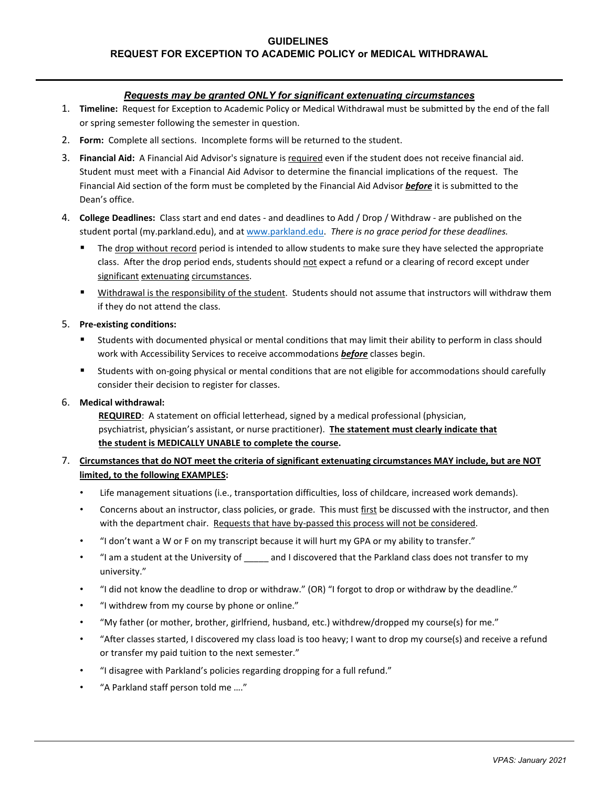## **GUIDELINES REQUEST FOR EXCEPTION TO ACADEMIC POLICY or MEDICAL WITHDRAWAL**

## *Requests may be granted ONLY for significant extenuating circumstances*

- 1. **Timeline:** Request for Exception to Academic Policy or Medical Withdrawal must be submitted by the end of the fall or spring semester following the semester in question.
- 2. **Form:** Complete all sections. Incomplete forms will be returned to the student.
- 3. **Financial Aid:** A Financial Aid Advisor's signature is required even if the student does not receive financial aid. Student must meet with a Financial Aid Advisor to determine the financial implications of the request. The Financial Aid section of the form must be completed by the Financial Aid Advisor *before* it is submitted to the Dean's office.
- 4. **College Deadlines:** Class start and end dates and deadlines to Add / Drop / Withdraw are published on the student portal (my.parkland.edu), and at [www.parkland.edu.](http://www.parkland.edu/) *There is no grace period for these deadlines.* 
	- The drop without record period is intended to allow students to make sure they have selected the appropriate class. After the drop period ends, students should not expect a refund or a clearing of record except under significant extenuating circumstances.
	- Withdrawal is the responsibility of the student. Students should not assume that instructors will withdraw them if they do not attend the class.

#### 5. **Pre-existing conditions:**

- Students with documented physical or mental conditions that may limit their ability to perform in class should work with Accessibility Services to receive accommodations *before* classes begin.
- Students with on-going physical or mental conditions that are not eligible for accommodations should carefully consider their decision to register for classes.

### 6. **Medical withdrawal:**

 **REQUIRED**: A statement on official letterhead, signed by a medical professional (physician, psychiatrist, physician's assistant, or nurse practitioner). **The statement must clearly indicate that the student is MEDICALLY UNABLE to complete the course.** 

## 7. **Circumstances that do NOT meet the criteria of significant extenuating circumstances MAY include, but are NOT limited, to the following EXAMPLES:**

- Life management situations (i.e., transportation difficulties, loss of childcare, increased work demands).
- Concerns about an instructor, class policies, or grade. This must first be discussed with the instructor, and then with the department chair. Requests that have by-passed this process will not be considered.
- "I don't want a W or F on my transcript because it will hurt my GPA or my ability to transfer."
- "I am a student at the University of \_\_\_\_\_ and I discovered that the Parkland class does not transfer to my university."
- "I did not know the deadline to drop or withdraw." (OR) "I forgot to drop or withdraw by the deadline."
- "I withdrew from my course by phone or online."
- "My father (or mother, brother, girlfriend, husband, etc.) withdrew/dropped my course(s) for me."
- "After classes started, I discovered my class load is too heavy; I want to drop my course(s) and receive a refund or transfer my paid tuition to the next semester."
- "I disagree with Parkland's policies regarding dropping for a full refund."
- "A Parkland staff person told me …."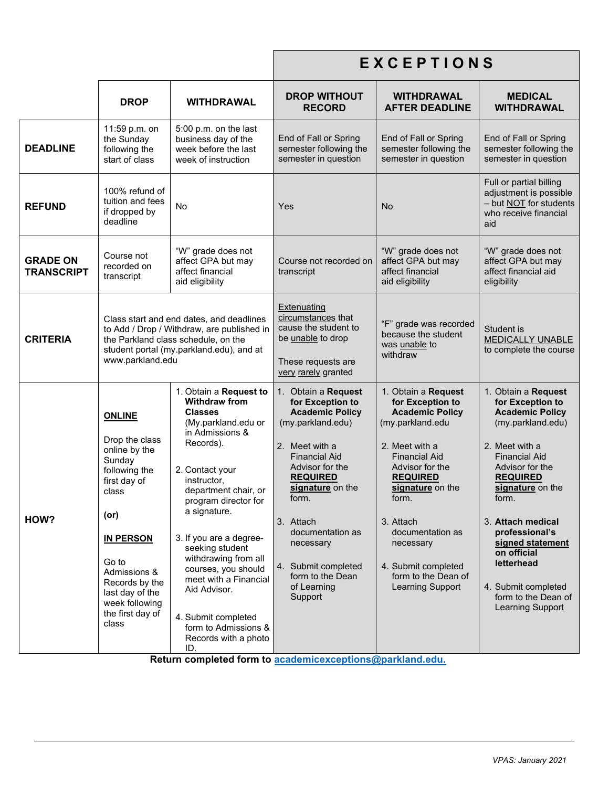|                                      |                                                                                                                                                                                                                                               |                                                                                                                                                                                                                                                                                                                                                                                                                                               | EXCEPTIONS                                                                                                                                                                                                                                                                                                                                                                         |                                                                                                                                                                                                                                                                                                                    |                                                                                                                                                                                                                                                                                                                                                                      |
|--------------------------------------|-----------------------------------------------------------------------------------------------------------------------------------------------------------------------------------------------------------------------------------------------|-----------------------------------------------------------------------------------------------------------------------------------------------------------------------------------------------------------------------------------------------------------------------------------------------------------------------------------------------------------------------------------------------------------------------------------------------|------------------------------------------------------------------------------------------------------------------------------------------------------------------------------------------------------------------------------------------------------------------------------------------------------------------------------------------------------------------------------------|--------------------------------------------------------------------------------------------------------------------------------------------------------------------------------------------------------------------------------------------------------------------------------------------------------------------|----------------------------------------------------------------------------------------------------------------------------------------------------------------------------------------------------------------------------------------------------------------------------------------------------------------------------------------------------------------------|
|                                      | <b>DROP</b>                                                                                                                                                                                                                                   | <b>WITHDRAWAL</b>                                                                                                                                                                                                                                                                                                                                                                                                                             | <b>DROP WITHOUT</b><br><b>RECORD</b>                                                                                                                                                                                                                                                                                                                                               | <b>WITHDRAWAL</b><br><b>AFTER DEADLINE</b>                                                                                                                                                                                                                                                                         | <b>MEDICAL</b><br><b>WITHDRAWAL</b>                                                                                                                                                                                                                                                                                                                                  |
| <b>DEADLINE</b>                      | 11:59 p.m. on<br>the Sunday<br>following the<br>start of class                                                                                                                                                                                | 5:00 p.m. on the last<br>business day of the<br>week before the last<br>week of instruction                                                                                                                                                                                                                                                                                                                                                   | End of Fall or Spring<br>semester following the<br>semester in question                                                                                                                                                                                                                                                                                                            | End of Fall or Spring<br>semester following the<br>semester in question                                                                                                                                                                                                                                            | End of Fall or Spring<br>semester following the<br>semester in question                                                                                                                                                                                                                                                                                              |
| <b>REFUND</b>                        | 100% refund of<br>tuition and fees<br>if dropped by<br>deadline                                                                                                                                                                               | <b>No</b>                                                                                                                                                                                                                                                                                                                                                                                                                                     | Yes                                                                                                                                                                                                                                                                                                                                                                                | No                                                                                                                                                                                                                                                                                                                 | Full or partial billing<br>adjustment is possible<br>- but NOT for students<br>who receive financial<br>aid                                                                                                                                                                                                                                                          |
| <b>GRADE ON</b><br><b>TRANSCRIPT</b> | Course not<br>recorded on<br>transcript                                                                                                                                                                                                       | "W" grade does not<br>affect GPA but may<br>affect financial<br>aid eligibility                                                                                                                                                                                                                                                                                                                                                               | Course not recorded on<br>transcript                                                                                                                                                                                                                                                                                                                                               | "W" grade does not<br>affect GPA but may<br>affect financial<br>aid eligibility                                                                                                                                                                                                                                    | "W" grade does not<br>affect GPA but may<br>affect financial aid<br>eligibility                                                                                                                                                                                                                                                                                      |
| <b>CRITERIA</b>                      | www.parkland.edu                                                                                                                                                                                                                              | Class start and end dates, and deadlines<br>to Add / Drop / Withdraw, are published in<br>the Parkland class schedule, on the<br>student portal (my.parkland.edu), and at                                                                                                                                                                                                                                                                     | Extenuating<br>circumstances that<br>cause the student to<br>be unable to drop<br>These requests are<br>very rarely granted                                                                                                                                                                                                                                                        | "F" grade was recorded<br>because the student<br>was unable to<br>withdraw                                                                                                                                                                                                                                         | Student is<br><b>MEDICALLY UNABLE</b><br>to complete the course                                                                                                                                                                                                                                                                                                      |
| HOW?                                 | <b>ONLINE</b><br>Drop the class<br>online by the<br>Sunday<br>following the<br>first day of<br>class<br>(or)<br><b>IN PERSON</b><br>Go to<br>Admissions &<br>Records by the<br>last day of the<br>week following<br>the first day of<br>class | 1. Obtain a Request to<br><b>Withdraw from</b><br><b>Classes</b><br>(My.parkland.edu or<br>in Admissions &<br>Records).<br>2. Contact your<br>instructor,<br>department chair, or<br>program director for<br>a signature.<br>3. If you are a degree-<br>seeking student<br>withdrawing from all<br>courses, you should<br>meet with a Financial<br>Aid Advisor.<br>4. Submit completed<br>form to Admissions &<br>Records with a photo<br>ID. | 1. Obtain a Request<br>for Exception to<br><b>Academic Policy</b><br>(my.parkland.edu)<br>2. Meet with a<br><b>Financial Aid</b><br>Advisor for the<br><b>REQUIRED</b><br>signature on the<br>TOrm.<br>3. Attach<br>documentation as<br>necessary<br>4. Submit completed<br>form to the Dean<br>of Learning<br>Support<br>Return completed form to academicexceptions@parkland.edu | 1. Obtain a Request<br>for Exception to<br><b>Academic Policy</b><br>(my.parkland.edu<br>2. Meet with a<br><b>Financial Aid</b><br>Advisor for the<br><b>REQUIRED</b><br>signature on the<br>torm.<br>3. Attach<br>documentation as<br>necessary<br>4. Submit completed<br>form to the Dean of<br>Learning Support | 1. Obtain a Request<br>for Exception to<br><b>Academic Policy</b><br>(my.parkland.edu)<br>2. Meet with a<br><b>Financial Aid</b><br>Advisor for the<br><b>REQUIRED</b><br>signature on the<br>TOrm.<br>3. Attach medical<br>professional's<br>signed statement<br>on official<br>letterhead<br>4. Submit completed<br>form to the Dean of<br><b>Learning Support</b> |

**Return completed form to [academicexceptions@parkland.edu.](mailto:academicexceptions@parkland.edu)**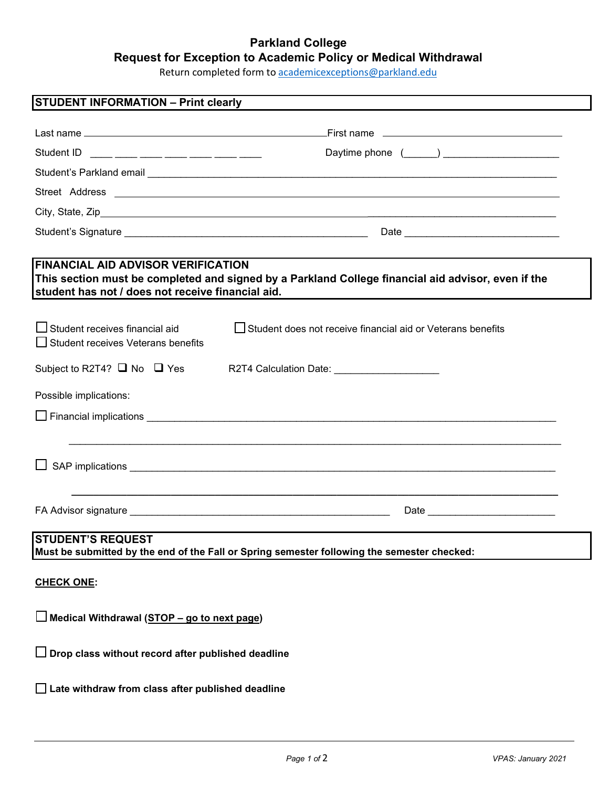# **Parkland College Request for Exception to Academic Policy or Medical Withdrawal**

Return completed form to [academicexceptions@parkland.edu](mailto:academicexceptions@parkland.edu)

**STUDENT INFORMATION – Print clearly**  Last name <u>example and the second contract of the second contract of First name</u> Student ID \_\_\_\_ \_\_\_\_ \_\_\_\_ \_\_\_\_ \_\_\_\_ \_\_\_\_ \_\_\_\_ Daytime phone (\_\_\_\_\_\_) \_\_\_\_\_\_\_\_\_\_\_\_\_\_\_\_\_\_\_\_\_ Student's Parkland email \_\_\_\_\_\_\_\_\_\_\_\_\_\_\_\_\_\_\_\_\_\_\_\_\_\_\_\_\_\_\_\_\_\_\_\_\_\_\_\_\_\_\_\_\_\_\_\_\_\_\_\_\_\_\_\_\_\_\_\_\_\_\_\_\_\_\_\_\_\_\_\_\_\_ Street Address City, State, Zip \_\_\_\_\_\_\_\_\_\_\_\_\_\_\_\_\_\_\_\_\_\_\_\_\_\_\_\_\_\_\_\_\_\_ Student's Signature \_\_\_\_\_\_\_\_\_\_\_\_\_\_\_\_\_\_\_\_\_\_\_\_\_\_\_\_\_\_\_\_\_\_\_\_\_\_\_\_\_\_\_\_ Date \_\_\_\_\_\_\_\_\_\_\_\_\_\_\_\_\_\_\_\_\_\_\_\_\_\_\_\_ **FINANCIAL AID ADVISOR VERIFICATION This section must be completed and signed by a Parkland College financial aid advisor, even if the student has not / does not receive financial aid.**   $\square$  Student receives financial aid  $\square$  Student does not receive financial aid or Veterans benefits  $\Box$  Student receives Veterans benefits Subject to R2T4?  $\Box$  No  $\Box$  Yes R2T4 Calculation Date: Possible implications:  $\Box$  Financial implications  $\Box$  \_\_\_\_\_\_\_\_\_\_\_\_\_\_\_\_\_\_\_\_\_\_\_\_\_\_\_\_\_\_\_\_\_\_\_\_\_\_\_\_\_\_\_\_\_\_\_\_\_\_\_\_\_\_\_\_\_\_\_\_\_\_\_\_\_\_\_\_\_\_\_\_\_\_\_\_\_\_\_\_\_\_\_\_\_\_\_\_\_  $\Box$  SAP implications  $\Box$ **\_\_\_\_\_\_\_\_\_\_\_\_\_\_\_\_\_\_\_\_\_\_\_\_\_\_\_\_\_\_\_\_\_\_\_\_\_\_\_\_\_\_\_\_\_\_\_\_\_\_\_\_\_\_\_\_\_\_\_\_\_\_\_\_\_\_\_\_\_\_\_\_\_\_\_\_\_\_\_\_\_\_\_\_\_\_\_\_** FA Advisor signature \_\_\_\_\_\_\_\_\_\_\_\_\_\_\_\_\_\_\_\_\_\_\_\_\_\_\_\_\_\_\_\_\_\_\_\_\_\_\_\_\_\_\_\_\_\_\_ Date \_\_\_\_\_\_\_\_\_\_\_\_\_\_\_\_\_\_\_\_\_\_\_ **STUDENT'S REQUEST Must be submitted by the end of the Fall or Spring semester following the semester checked: CHECK ONE: Medical Withdrawal (STOP – go to next page) Drop class without record after published deadline**

**Late withdraw from class after published deadline**